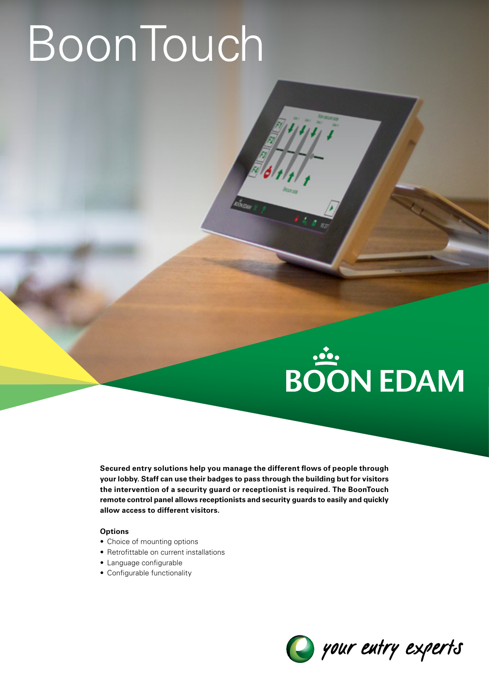## **BoonTouch**

# **BOON EDAM**

**Secured entry solutions help you manage the different flows of people through your lobby. Staff can use their badges to pass through the building but for visitors the intervention of a security guard or receptionist is required. The BoonTouch remote control panel allows receptionists and security guards to easily and quickly allow access to different visitors.**

#### **Options**

- Choice of mounting options
- Retrofittable on current installations
- Language configurable
- Configurable functionality